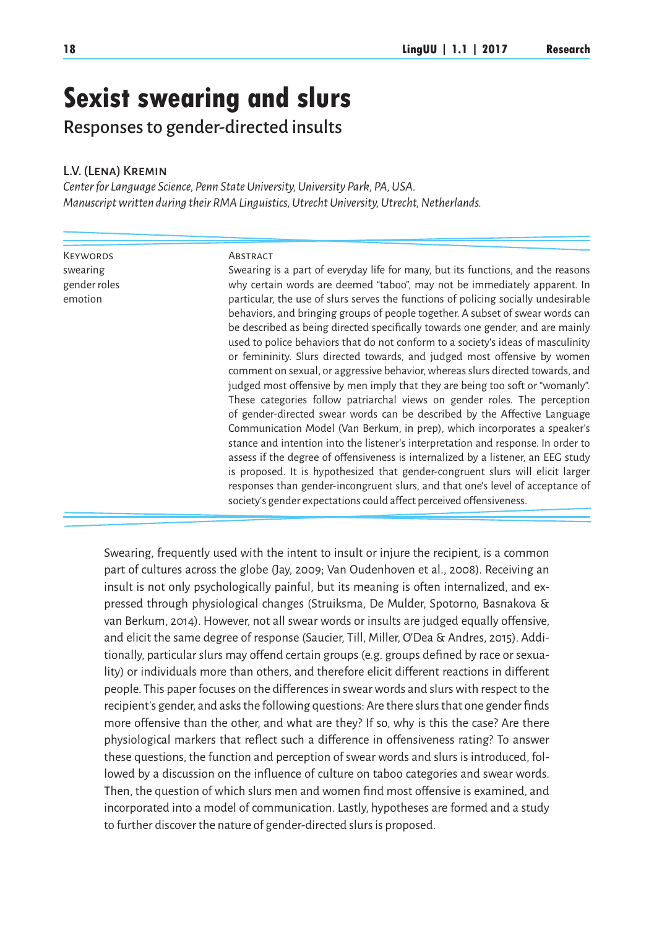# **Sexist swearing and slurs**

Responses to gender-directed insults

## L.V. (Lena) Kremin

*Center for Language Science, Penn State University, University Park, PA, USA. Manuscript written during their RMA Linguistics, Utrecht University, Utrecht, Netherlands.*

**KEYWORDS** swearing gender roles emotion

#### **ABSTRACT**

Swearing is a part of everyday life for many, but its functions, and the reasons why certain words are deemed "taboo", may not be immediately apparent. In particular, the use of slurs serves the functions of policing socially undesirable behaviors, and bringing groups of people together. A subset of swear words can be described as being directed specifically towards one gender, and are mainly used to police behaviors that do not conform to a society's ideas of masculinity or femininity. Slurs directed towards, and judged most offensive by women comment on sexual, or aggressive behavior, whereas slurs directed towards, and judged most offensive by men imply that they are being too soft or "womanly". These categories follow patriarchal views on gender roles. The perception of gender-directed swear words can be described by the Affective Language Communication Model (Van Berkum, in prep), which incorporates a speaker's stance and intention into the listener's interpretation and response. In order to assess if the degree of offensiveness is internalized by a listener, an EEG study is proposed. It is hypothesized that gender-congruent slurs will elicit larger responses than gender-incongruent slurs, and that one's level of acceptance of society's gender expectations could affect perceived offensiveness.

Swearing, frequently used with the intent to insult or injure the recipient, is a common part of cultures across the globe (Jay, 2009; Van Oudenhoven et al., 2008). Receiving an insult is not only psychologically painful, but its meaning is often internalized, and expressed through physiological changes (Struiksma, De Mulder, Spotorno, Basnakova & van Berkum, 2014). However, not all swear words or insults are judged equally offensive, and elicit the same degree of response (Saucier, Till, Miller, O'Dea & Andres, 2015). Additionally, particular slurs may offend certain groups (e.g. groups defined by race or sexuality) or individuals more than others, and therefore elicit different reactions in different people. This paper focuses on the differences in swear words and slurs with respect to the recipient's gender, and asks the following questions: Are there slurs that one gender finds more offensive than the other, and what are they? If so, why is this the case? Are there physiological markers that reflect such a difference in offensiveness rating? To answer these questions, the function and perception of swear words and slurs is introduced, followed by a discussion on the influence of culture on taboo categories and swear words. Then, the question of which slurs men and women find most offensive is examined, and incorporated into a model of communication. Lastly, hypotheses are formed and a study to further discover the nature of gender-directed slurs is proposed.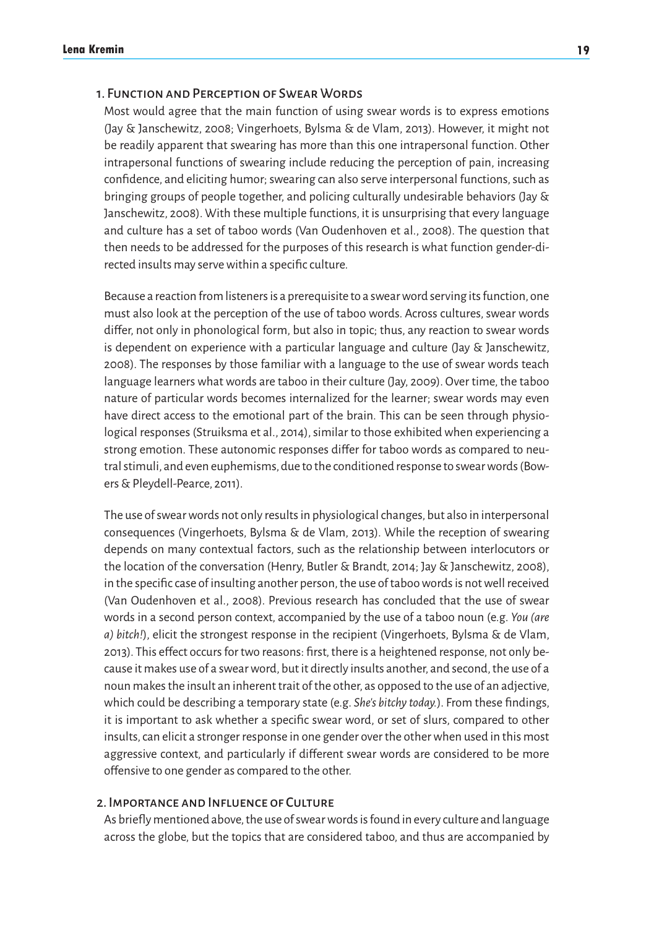# 1. Function and Perception of Swear Words

Most would agree that the main function of using swear words is to express emotions (Jay & Janschewitz, 2008; Vingerhoets, Bylsma & de Vlam, 2013). However, it might not be readily apparent that swearing has more than this one intrapersonal function. Other intrapersonal functions of swearing include reducing the perception of pain, increasing confidence, and eliciting humor; swearing can also serve interpersonal functions, such as bringing groups of people together, and policing culturally undesirable behaviors (Jay & Janschewitz, 2008). With these multiple functions, it is unsurprising that every language and culture has a set of taboo words (Van Oudenhoven et al., 2008). The question that then needs to be addressed for the purposes of this research is what function gender-directed insults may serve within a specific culture.

Because a reaction from listeners is a prerequisite to a swear word serving its function, one must also look at the perception of the use of taboo words. Across cultures, swear words differ, not only in phonological form, but also in topic; thus, any reaction to swear words is dependent on experience with a particular language and culture (Jay & Janschewitz, 2008). The responses by those familiar with a language to the use of swear words teach language learners what words are taboo in their culture (Jay, 2009). Over time, the taboo nature of particular words becomes internalized for the learner; swear words may even have direct access to the emotional part of the brain. This can be seen through physiological responses (Struiksma et al., 2014), similar to those exhibited when experiencing a strong emotion. These autonomic responses differ for taboo words as compared to neutral stimuli, and even euphemisms, due to the conditioned response to swear words (Bowers & Pleydell-Pearce, 2011).

The use of swear words not only results in physiological changes, but also in interpersonal consequences (Vingerhoets, Bylsma & de Vlam, 2013). While the reception of swearing depends on many contextual factors, such as the relationship between interlocutors or the location of the conversation (Henry, Butler & Brandt, 2014; Jay & Janschewitz, 2008), in the specific case of insulting another person, the use of taboo words is not well received (Van Oudenhoven et al., 2008). Previous research has concluded that the use of swear words in a second person context, accompanied by the use of a taboo noun (e.g. *You (are a) bitch!*), elicit the strongest response in the recipient (Vingerhoets, Bylsma & de Vlam, 2013). This effect occurs for two reasons: first, there is a heightened response, not only because it makes use of a swear word, but it directly insults another, and second, the use of a noun makes the insult an inherent trait of the other, as opposed to the use of an adjective, which could be describing a temporary state (e.g. *She's bitchy today.*). From these findings, it is important to ask whether a specific swear word, or set of slurs, compared to other insults, can elicit a stronger response in one gender over the other when used in this most aggressive context, and particularly if different swear words are considered to be more offensive to one gender as compared to the other.

# 2. Importance and Influence of Culture

As briefly mentioned above, the use of swear words is found in every culture and language across the globe, but the topics that are considered taboo, and thus are accompanied by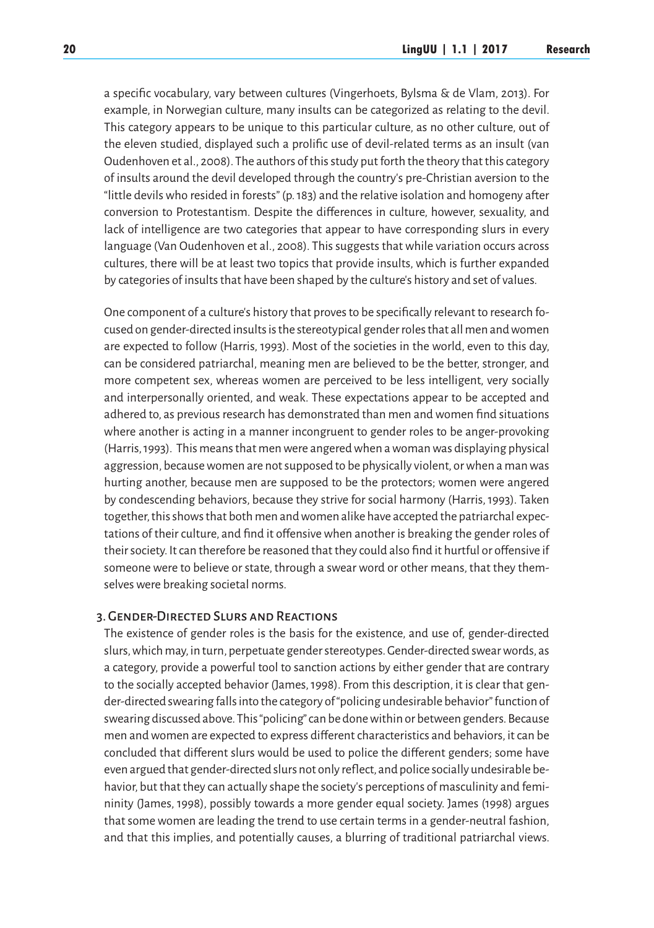a specific vocabulary, vary between cultures (Vingerhoets, Bylsma & de Vlam, 2013). For example, in Norwegian culture, many insults can be categorized as relating to the devil. This category appears to be unique to this particular culture, as no other culture, out of the eleven studied, displayed such a prolific use of devil-related terms as an insult (van Oudenhoven et al., 2008). The authors of this study put forth the theory that this category of insults around the devil developed through the country's pre-Christian aversion to the "little devils who resided in forests" (p. 183) and the relative isolation and homogeny after conversion to Protestantism. Despite the differences in culture, however, sexuality, and lack of intelligence are two categories that appear to have corresponding slurs in every language (Van Oudenhoven et al., 2008). This suggests that while variation occurs across cultures, there will be at least two topics that provide insults, which is further expanded by categories of insults that have been shaped by the culture's history and set of values.

One component of a culture's history that proves to be specifically relevant to research focused on gender-directed insults is the stereotypical gender roles that all men and women are expected to follow (Harris, 1993). Most of the societies in the world, even to this day, can be considered patriarchal, meaning men are believed to be the better, stronger, and more competent sex, whereas women are perceived to be less intelligent, very socially and interpersonally oriented, and weak. These expectations appear to be accepted and adhered to, as previous research has demonstrated than men and women find situations where another is acting in a manner incongruent to gender roles to be anger-provoking (Harris, 1993). This means that men were angered when a woman was displaying physical aggression, because women are not supposed to be physically violent, or when a man was hurting another, because men are supposed to be the protectors; women were angered by condescending behaviors, because they strive for social harmony (Harris, 1993). Taken together, this shows that both men and women alike have accepted the patriarchal expectations of their culture, and find it offensive when another is breaking the gender roles of their society. It can therefore be reasoned that they could also find it hurtful or offensive if someone were to believe or state, through a swear word or other means, that they themselves were breaking societal norms.

## 3. Gender-Directed Slurs and Reactions

The existence of gender roles is the basis for the existence, and use of, gender-directed slurs, which may, in turn, perpetuate gender stereotypes. Gender-directed swear words, as a category, provide a powerful tool to sanction actions by either gender that are contrary to the socially accepted behavior (James, 1998). From this description, it is clear that gender-directed swearing falls into the category of "policing undesirable behavior" function of swearing discussed above. This "policing" can be done within or between genders. Because men and women are expected to express different characteristics and behaviors, it can be concluded that different slurs would be used to police the different genders; some have even argued that gender-directed slurs not only reflect, and police socially undesirable behavior, but that they can actually shape the society's perceptions of masculinity and femininity (James, 1998), possibly towards a more gender equal society. James (1998) argues that some women are leading the trend to use certain terms in a gender-neutral fashion, and that this implies, and potentially causes, a blurring of traditional patriarchal views.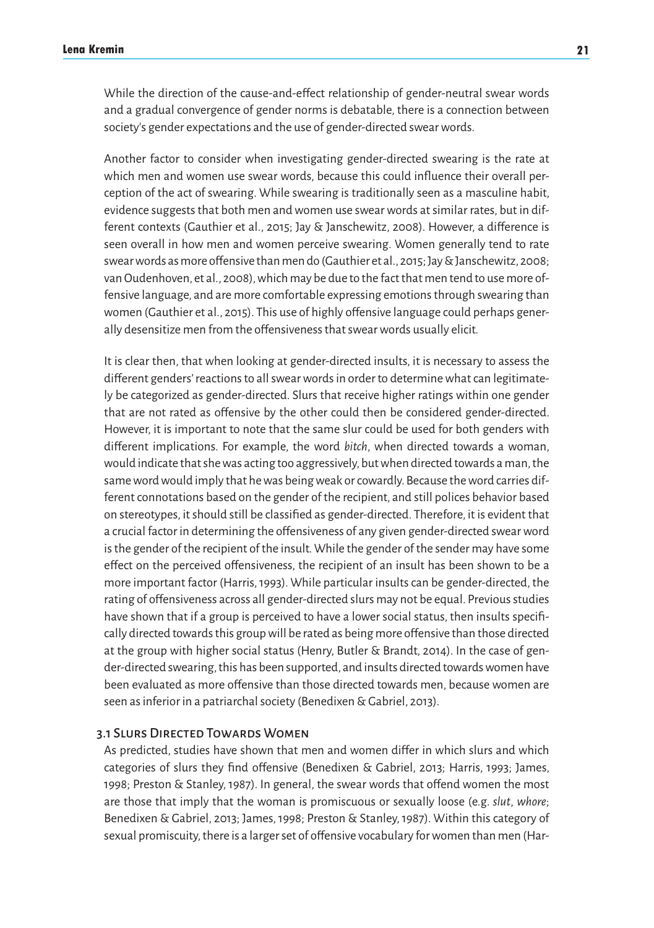While the direction of the cause-and-effect relationship of gender-neutral swear words and a gradual convergence of gender norms is debatable, there is a connection between society's gender expectations and the use of gender-directed swear words.

Another factor to consider when investigating gender-directed swearing is the rate at which men and women use swear words, because this could influence their overall perception of the act of swearing. While swearing is traditionally seen as a masculine habit, evidence suggests that both men and women use swear words at similar rates, but in different contexts (Gauthier et al., 2015; Jay & Janschewitz, 2008). However, a difference is seen overall in how men and women perceive swearing. Women generally tend to rate swear words as more offensive than men do (Gauthier et al., 2015; Jay & Janschewitz, 2008; van Oudenhoven, et al., 2008), which may be due to the fact that men tend to use more offensive language, and are more comfortable expressing emotions through swearing than women (Gauthier et al., 2015). This use of highly offensive language could perhaps generally desensitize men from the offensiveness that swear words usually elicit.

It is clear then, that when looking at gender-directed insults, it is necessary to assess the different genders' reactions to all swear words in order to determine what can legitimately be categorized as gender-directed. Slurs that receive higher ratings within one gender that are not rated as offensive by the other could then be considered gender-directed. However, it is important to note that the same slur could be used for both genders with different implications. For example, the word *bitch*, when directed towards a woman, would indicate that she was acting too aggressively, but when directed towards a man, the same word would imply that he was being weak or cowardly. Because the word carries different connotations based on the gender of the recipient, and still polices behavior based on stereotypes, it should still be classified as gender-directed. Therefore, it is evident that a crucial factor in determining the offensiveness of any given gender-directed swear word is the gender of the recipient of the insult. While the gender of the sender may have some effect on the perceived offensiveness, the recipient of an insult has been shown to be a more important factor (Harris, 1993). While particular insults can be gender-directed, the rating of offensiveness across all gender-directed slurs may not be equal. Previous studies have shown that if a group is perceived to have a lower social status, then insults specifically directed towards this group will be rated as being more offensive than those directed at the group with higher social status (Henry, Butler & Brandt, 2014). In the case of gender-directed swearing, this has been supported, and insults directed towards women have been evaluated as more offensive than those directed towards men, because women are seen as inferior in a patriarchal society (Benedixen & Gabriel, 2013).

#### 3.1 Slurs Directed Towards Women

As predicted, studies have shown that men and women differ in which slurs and which categories of slurs they find offensive (Benedixen & Gabriel, 2013; Harris, 1993; James, 1998; Preston & Stanley, 1987). In general, the swear words that offend women the most are those that imply that the woman is promiscuous or sexually loose (e.g. *slut*, *whore*; Benedixen & Gabriel, 2013; James, 1998; Preston & Stanley, 1987). Within this category of sexual promiscuity, there is a larger set of offensive vocabulary for women than men (Har-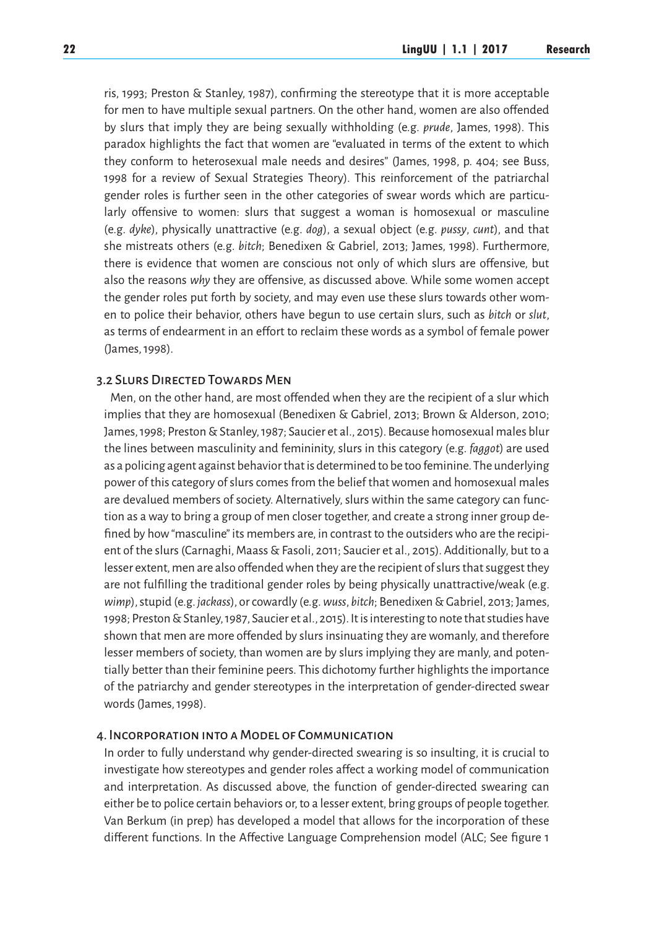ris, 1993; Preston & Stanley, 1987), confirming the stereotype that it is more acceptable for men to have multiple sexual partners. On the other hand, women are also offended by slurs that imply they are being sexually withholding (e.g. *prude*, James, 1998). This paradox highlights the fact that women are "evaluated in terms of the extent to which they conform to heterosexual male needs and desires" (James, 1998, p. 404; see Buss, 1998 for a review of Sexual Strategies Theory). This reinforcement of the patriarchal gender roles is further seen in the other categories of swear words which are particularly offensive to women: slurs that suggest a woman is homosexual or masculine (e.g. *dyke*), physically unattractive (e.g. *dog*), a sexual object (e.g. *pussy*, *cunt*), and that she mistreats others (e.g. *bitch*; Benedixen & Gabriel, 2013; James, 1998). Furthermore, there is evidence that women are conscious not only of which slurs are offensive, but also the reasons *why* they are offensive, as discussed above. While some women accept the gender roles put forth by society, and may even use these slurs towards other women to police their behavior, others have begun to use certain slurs, such as *bitch* or *slut*, as terms of endearment in an effort to reclaim these words as a symbol of female power (James, 1998).

# 3.2 Slurs Directed Towards Men

Men, on the other hand, are most offended when they are the recipient of a slur which implies that they are homosexual (Benedixen & Gabriel, 2013; Brown & Alderson, 2010; James, 1998; Preston & Stanley, 1987; Saucier et al., 2015). Because homosexual males blur the lines between masculinity and femininity, slurs in this category (e.g. *faggot*) are used as a policing agent against behavior that is determined to be too feminine. The underlying power of this category of slurs comes from the belief that women and homosexual males are devalued members of society. Alternatively, slurs within the same category can function as a way to bring a group of men closer together, and create a strong inner group defined by how "masculine" its members are, in contrast to the outsiders who are the recipient of the slurs (Carnaghi, Maass & Fasoli, 2011; Saucier et al., 2015). Additionally, but to a lesser extent, men are also offended when they are the recipient of slurs that suggest they are not fulfilling the traditional gender roles by being physically unattractive/weak (e.g. *wimp*), stupid (e.g. *jackass*), or cowardly (e.g. *wuss*, *bitch*; Benedixen & Gabriel, 2013; James, 1998; Preston & Stanley, 1987, Saucier et al., 2015). It is interesting to note that studies have shown that men are more offended by slurs insinuating they are womanly, and therefore lesser members of society, than women are by slurs implying they are manly, and potentially better than their feminine peers. This dichotomy further highlights the importance of the patriarchy and gender stereotypes in the interpretation of gender-directed swear words (James, 1998).

### 4. Incorporation into a Model of Communication

In order to fully understand why gender-directed swearing is so insulting, it is crucial to investigate how stereotypes and gender roles affect a working model of communication and interpretation. As discussed above, the function of gender-directed swearing can either be to police certain behaviors or, to a lesser extent, bring groups of people together. Van Berkum (in prep) has developed a model that allows for the incorporation of these different functions. In the Affective Language Comprehension model (ALC; See figure 1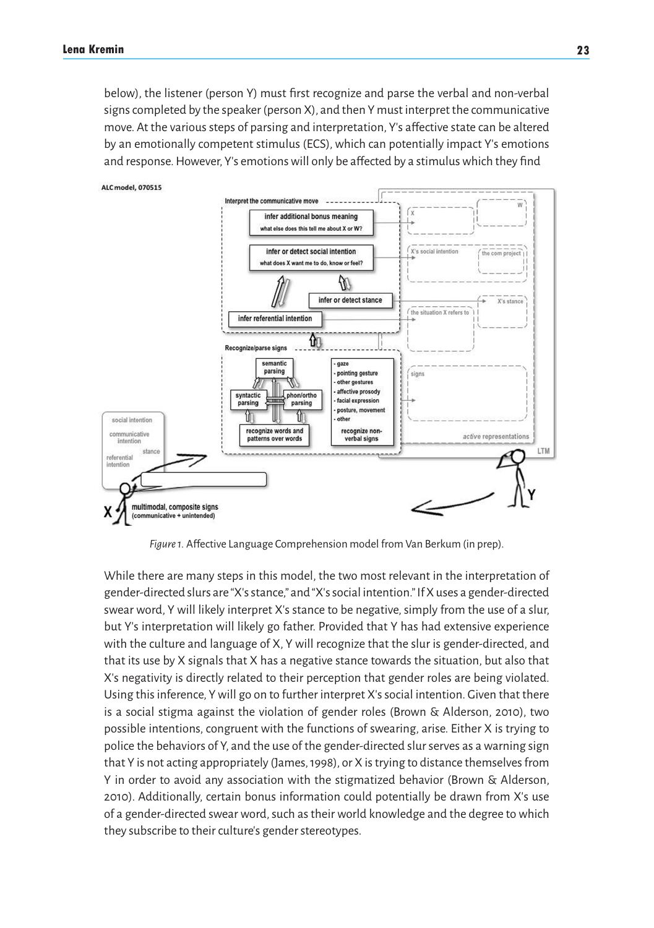below), the listener (person Y) must first recognize and parse the verbal and non-verbal signs completed by the speaker (person X), and then Y must interpret the communicative move. At the various steps of parsing and interpretation, Y's affective state can be altered by an emotionally competent stimulus (ECS), which can potentially impact Y's emotions and response. However, Y's emotions will only be affected by a stimulus which they find



*Figure 1.* Affective Language Comprehension model from Van Berkum (in prep).

While there are many steps in this model, the two most relevant in the interpretation of gender-directed slurs are "X's stance," and "X's social intention." If X uses a gender-directed swear word, Y will likely interpret X's stance to be negative, simply from the use of a slur, but Y's interpretation will likely go father. Provided that Y has had extensive experience with the culture and language of X, Y will recognize that the slur is gender-directed, and that its use by X signals that X has a negative stance towards the situation, but also that X's negativity is directly related to their perception that gender roles are being violated. Using this inference, Y will go on to further interpret X's social intention. Given that there is a social stigma against the violation of gender roles (Brown & Alderson, 2010), two possible intentions, congruent with the functions of swearing, arise. Either X is trying to police the behaviors of Y, and the use of the gender-directed slur serves as a warning sign that Y is not acting appropriately (James, 1998), or X is trying to distance themselves from Y in order to avoid any association with the stigmatized behavior (Brown & Alderson, 2010). Additionally, certain bonus information could potentially be drawn from X's use of a gender-directed swear word, such as their world knowledge and the degree to which they subscribe to their culture's gender stereotypes.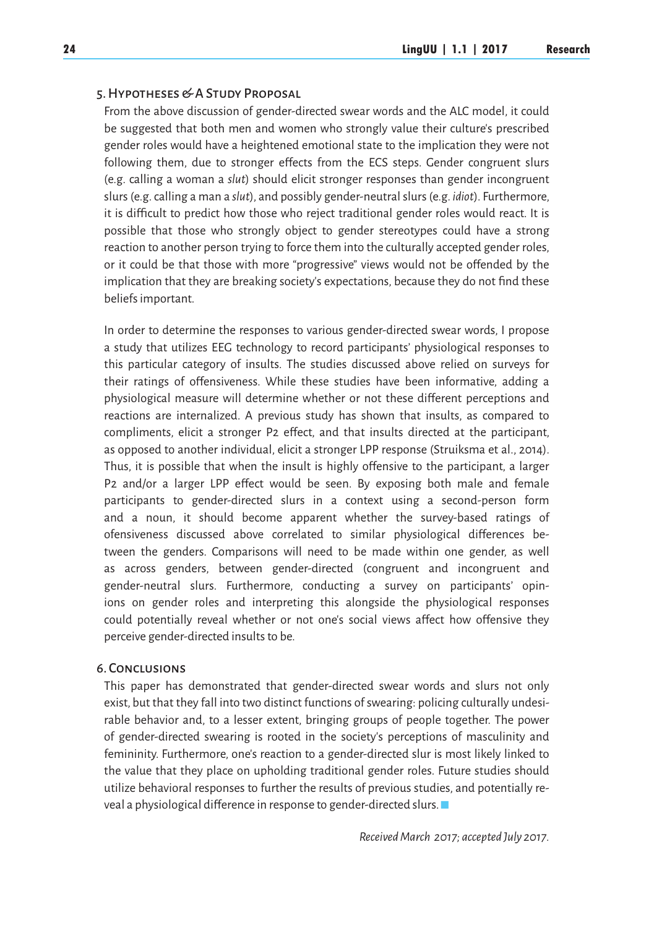#### 5. Hypotheses & A Study Proposal

From the above discussion of gender-directed swear words and the ALC model, it could be suggested that both men and women who strongly value their culture's prescribed gender roles would have a heightened emotional state to the implication they were not following them, due to stronger effects from the ECS steps. Gender congruent slurs (e.g. calling a woman a *slut*) should elicit stronger responses than gender incongruent slurs (e.g. calling a man a *slut*), and possibly gender-neutral slurs (e.g. *idiot*). Furthermore, it is difficult to predict how those who reject traditional gender roles would react. It is possible that those who strongly object to gender stereotypes could have a strong reaction to another person trying to force them into the culturally accepted gender roles, or it could be that those with more "progressive" views would not be offended by the implication that they are breaking society's expectations, because they do not find these beliefs important.

In order to determine the responses to various gender-directed swear words, I propose a study that utilizes EEG technology to record participants' physiological responses to this particular category of insults. The studies discussed above relied on surveys for their ratings of offensiveness. While these studies have been informative, adding a physiological measure will determine whether or not these different perceptions and reactions are internalized. A previous study has shown that insults, as compared to compliments, elicit a stronger P2 effect, and that insults directed at the participant, as opposed to another individual, elicit a stronger LPP response (Struiksma et al., 2014). Thus, it is possible that when the insult is highly offensive to the participant, a larger P2 and/or a larger LPP effect would be seen. By exposing both male and female participants to gender-directed slurs in a context using a second-person form and a noun, it should become apparent whether the survey-based ratings of ofensiveness discussed above correlated to similar physiological differences between the genders. Comparisons will need to be made within one gender, as well as across genders, between gender-directed (congruent and incongruent and gender-neutral slurs. Furthermore, conducting a survey on participants' opinions on gender roles and interpreting this alongside the physiological responses could potentially reveal whether or not one's social views affect how offensive they perceive gender-directed insults to be.

## 6. Conclusions

This paper has demonstrated that gender-directed swear words and slurs not only exist, but that they fall into two distinct functions of swearing: policing culturally undesirable behavior and, to a lesser extent, bringing groups of people together. The power of gender-directed swearing is rooted in the society's perceptions of masculinity and femininity. Furthermore, one's reaction to a gender-directed slur is most likely linked to the value that they place on upholding traditional gender roles. Future studies should utilize behavioral responses to further the results of previous studies, and potentially reveal a physiological difference in response to gender-directed slurs.

*Received March 2017; accepted July 2017.*